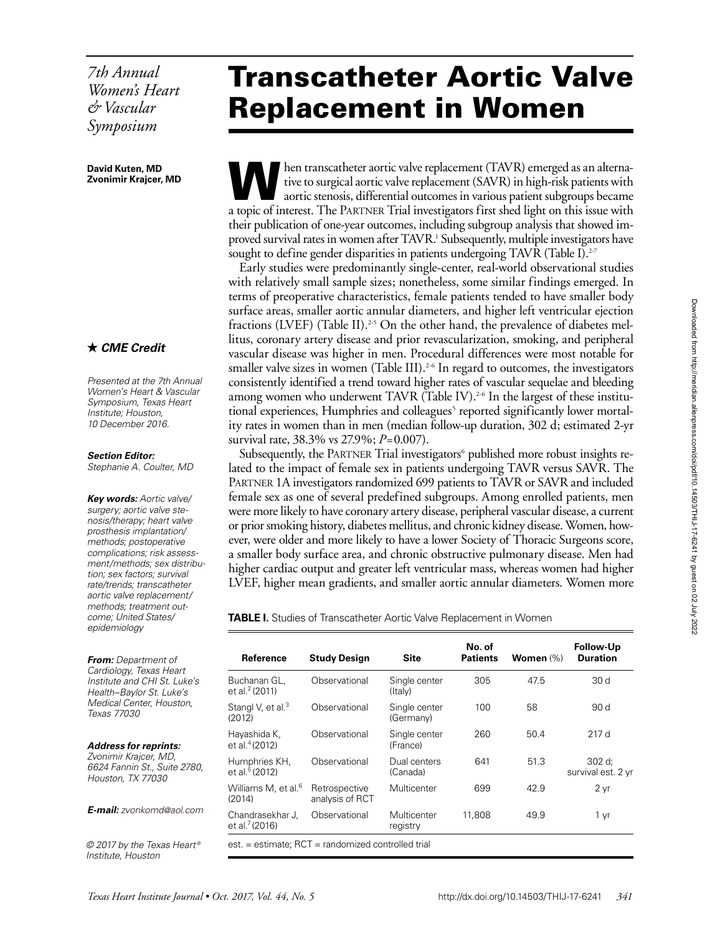*7th Annual Women's Heart & Vascular Symposium*

#### **David Kuten, MD Zvonimir Krajcer, MD**

## *CME Credit*

*Presented at the 7th Annual Women's Heart & Vascular Symposium, Texas Heart Institute; Houston, 10 December 2016.*

*Section Editor: Stephanie A. Coulter, MD*

*Key words: Aortic valve/ surgery; aortic valve stenosis/therapy; heart valve prosthesis implantation/ methods; postoperative complications; risk assessment/methods; sex distribution; sex factors; survival rate/trends; transcatheter aortic valve replacement/ methods; treatment outcome; United States/ epidemiology*

*From: Department of Cardiology, Texas Heart Institute and CHI St. Luke's Health–Baylor St. Luke's Medical Center, Houston, Texas 77030*

*Address for reprints: Zvonimir Krajcer, MD, 6624 Fannin St., Suite 2780, Houston, TX 77030*

*E-mail: [zvonkomd@aol.com](mailto:zvonkomd@aol.com)*

*© 2017 by the Texas Heart ® Institute, Houston*

# Transcatheter Aortic Valve Replacement in Women

hen transcatheter aortic valve replacement (TAVR) emerged as an alternative to surgical aortic valve replacement (SAVR) in high-risk patients with aortic stenosis, differential outcomes in various patient subgroups became a topic of interest. The Partner Trial investigators first shed light on this issue with their publication of one-year outcomes, including subgroup analysis that showed improved survival rates in women after TAVR.<sup>1</sup> Subsequently, multiple investigators have sought to define gender disparities in patients undergoing TAVR (Table I).<sup>2-7</sup>

Early studies were predominantly single-center, real-world observational studies with relatively small sample sizes; nonetheless, some similar findings emerged. In terms of preoperative characteristics, female patients tended to have smaller body surface areas, smaller aortic annular diameters, and higher left ventricular ejection fractions (LVEF) (Table II).<sup>2-5</sup> On the other hand, the prevalence of diabetes mellitus, coronary artery disease and prior revascularization, smoking, and peripheral vascular disease was higher in men. Procedural differences were most notable for smaller valve sizes in women (Table III).<sup>2-6</sup> In regard to outcomes, the investigators consistently identified a trend toward higher rates of vascular sequelae and bleeding among women who underwent TAVR (Table IV).<sup>2-6</sup> In the largest of these institutional experiences, Humphries and colleagues<sup>5</sup> reported significantly lower mortality rates in women than in men (median follow-up duration, 302 d; estimated 2-yr survival rate, 38.3% vs 27.9%; *P*=0.007).

Subsequently, the PARTNER Trial investigators<sup>6</sup> published more robust insights related to the impact of female sex in patients undergoing TAVR versus SAVR. The Partner 1A investigators randomized 699 patients to TAVR or SAVR and included female sex as one of several predefined subgroups. Among enrolled patients, men were more likely to have coronary artery disease, peripheral vascular disease, a current or prior smoking history, diabetes mellitus, and chronic kidney disease. Women, however, were older and more likely to have a lower Society of Thoracic Surgeons score, a smaller body surface area, and chronic obstructive pulmonary disease. Men had higher cardiac output and greater left ventricular mass, whereas women had higher LVEF, higher mean gradients, and smaller aortic annular diameters. Women more

**TABLE I.** Studies of Transcatheter Aortic Valve Replacement in Women

| Reference                                             | <b>Study Design</b>              | Site                       | No. of<br><b>Patients</b> | Women $(\%)$ | <b>Follow-Up</b><br><b>Duration</b> |
|-------------------------------------------------------|----------------------------------|----------------------------|---------------------------|--------------|-------------------------------------|
| Buchanan GL.<br>et al. <sup>2</sup> (2011)            | Observational                    | Single center<br>(Italy)   | 305                       | 47.5         | 30 d                                |
| Stangl V, et al. <sup>3</sup><br>(2012)               | Observational                    | Single center<br>(Germany) | 100                       | 58           | 90 d                                |
| Hayashida K,<br>et al. <sup>4</sup> (2012)            | Observational                    | Single center<br>(France)  | 260                       | 50.4         | 217d                                |
| Humphries KH,<br>et al. <sup>5</sup> (2012)           | Observational                    | Dual centers<br>(Canada)   | 641                       | 51.3         | 302 d;<br>survival est. 2 yr        |
| Williams M, et al. <sup>6</sup><br>(2014)             | Retrospective<br>analysis of RCT | Multicenter                | 699                       | 42.9         | 2 yr                                |
| Chandrasekhar J,<br>et al. $7(2016)$                  | Observational                    | Multicenter<br>registry    | 11,808                    | 49.9         | 1 yr                                |
| $est. = estimate$ ; RCT = randomized controlled trial |                                  |                            |                           |              |                                     |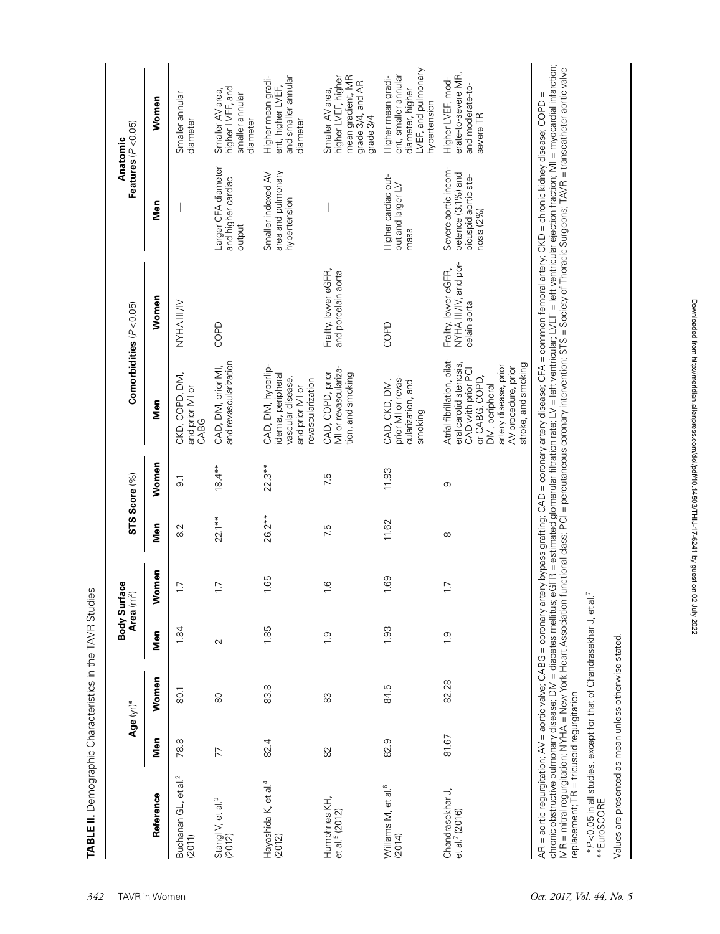|                                                                                                                                                                                                                                                 |       | Age (yr)* | Body Surf  | lace<br>Area $(m^2)$ |               | STS Score (%)  |                                                                                                                                                                                        | Comorbidities $(P < 0.05)$                                                                                                                                                                                                                                                                                                                                |                                                                                  | Features $(P < 0.05)$<br>Anatomic                                                                     |
|-------------------------------------------------------------------------------------------------------------------------------------------------------------------------------------------------------------------------------------------------|-------|-----------|------------|----------------------|---------------|----------------|----------------------------------------------------------------------------------------------------------------------------------------------------------------------------------------|-----------------------------------------------------------------------------------------------------------------------------------------------------------------------------------------------------------------------------------------------------------------------------------------------------------------------------------------------------------|----------------------------------------------------------------------------------|-------------------------------------------------------------------------------------------------------|
| Reference                                                                                                                                                                                                                                       | Men   | Women     | Men        | lemen<br>≤           | Men           | Women          | Men                                                                                                                                                                                    | Women                                                                                                                                                                                                                                                                                                                                                     | Men                                                                              | Women                                                                                                 |
| et al. <sup>2</sup><br>Buchanan GL,<br>(2011)                                                                                                                                                                                                   | 78.8  | 80.1      | 1.84       | $\overline{1}$ .     | $\frac{2}{8}$ | $\overline{5}$ | CKD, COPD, DM,<br>and prior MI or<br>CABG                                                                                                                                              | NYHA III/IV                                                                                                                                                                                                                                                                                                                                               |                                                                                  | Smaller annular<br>diameter                                                                           |
| Stangl V, et al. <sup>3</sup><br>(2012)                                                                                                                                                                                                         | 77    | $\infty$  | $\sim$     | $\overline{1.7}$     | $22.1**$      | $18.4**$       | and revascularization<br>CAD, DM, prior MI,                                                                                                                                            | COPD                                                                                                                                                                                                                                                                                                                                                      | Larger CFA diameter<br>and higher cardiac<br>output                              | higher LVEF, and<br>Smaller AV area,<br>smaller annular<br>diameter                                   |
| Hayashida K, et al. <sup>4</sup><br>(2012)                                                                                                                                                                                                      | 82.4  | 83.8      | 1.85       | 1.65                 | 26.2**        | $22.3**$       | CAD, DM, hyperlip-<br>demia, peripheral<br>vascular disease,<br>evascularization<br>and prior MI or                                                                                    |                                                                                                                                                                                                                                                                                                                                                           | area and pulmonary<br>Smaller indexed AV<br>hypertension                         | and smaller annular<br>Higher mean gradi-<br>ent, higher LVEF,<br>diameter                            |
| Humphries KH,<br>et al. <sup>5</sup> (2012)                                                                                                                                                                                                     | 82    | 83        | $\ddot{0}$ | $\frac{6}{1}$        | 7.5           | 7.5            | MI or revasculariza-<br>CAD, COPD, prior<br>tion, and smoking                                                                                                                          | Frailty, lower eGFR,<br>and porcelain aorta                                                                                                                                                                                                                                                                                                               |                                                                                  | higher LVEF, higher<br>mean gradient, MR<br>grade 3/4, and AR<br>Smaller AV area,<br>grade 3/4        |
| Williams M, et al. <sup>6</sup><br>(2014)                                                                                                                                                                                                       | 82.9  | 84.5      | 1.93       | 1.69                 | 11.62         | 11.93          | prior MI or revas-<br>CAD, CKD, DM,<br>cularization, and<br>smoking                                                                                                                    | COPD                                                                                                                                                                                                                                                                                                                                                      | Higher cardiac out-<br>put and larger LV<br>mass                                 | LVEF, and pulmonary<br>ent, smaller annular<br>Higher mean gradi-<br>diameter, higher<br>hypertension |
| Chandrasekhar J,<br>et al. <sup>7</sup> (2016)                                                                                                                                                                                                  | 81.67 | 82.28     | $\ddot{0}$ | $\overline{1}$ .     | $\infty$      | თ              | Atrial fibrillation, bilat-<br>eral carotid stenosis,<br>stroke, and smoking<br>artery disease, prior<br>AV procedure, prior<br>CAD with prior PCI<br>or CABG, COPD,<br>DM, peripheral | NYHA III/IV, and por-<br>Frailty, lower eGFR,<br>celain aorta                                                                                                                                                                                                                                                                                             | Severe aortic incom-<br>petence (3.1%) and<br>bicuspid aortic ste-<br>nosis (2%) | erate-to-severe MR,<br>Higher LVEF, mod-<br>and moderate-to-<br>severe TR                             |
| MR = mitral regurgitation; NYHA = New York Heart Association<br>AR = aortic regurgitation; AV = aortic valve; CABG = coronary ar<br>chronic obstructive pulmonary disease; DM = diabetes mellitus;<br>replacement; TR = tricuspid regurgitation |       |           |            |                      |               |                |                                                                                                                                                                                        | eGFR = estimated glomerular filtration rate; LV = left ventricular; LVEF = left ventricular ejection fraction; MI = myocardial infarction;<br>functional class; PCI = percutaneous coronary intervention; STS = Society of Thorac<br>tery bypass grafting; CAD = coronary artery disease; CFA = common femoral artery; CKD = chronic kidney disease; COPD |                                                                                  |                                                                                                       |
| *P<0.05 in all studies, except for that of Chandrasekhar J, et al<br>**EuroSCORE                                                                                                                                                                |       |           |            |                      |               |                |                                                                                                                                                                                        |                                                                                                                                                                                                                                                                                                                                                           |                                                                                  |                                                                                                       |
| Values are presented as mean unless otherwise stated.                                                                                                                                                                                           |       |           |            |                      |               |                |                                                                                                                                                                                        |                                                                                                                                                                                                                                                                                                                                                           |                                                                                  |                                                                                                       |

Downloaded from http://meridian.allenpress.com/doi/pdf/10.14503/THIJ-17-6241 by guest on 02 July 2022 Downloaded from http://meridian.allenpress.com/doi/pdf/10.14503/THIJ-17-6241 by guest on 02 July 2022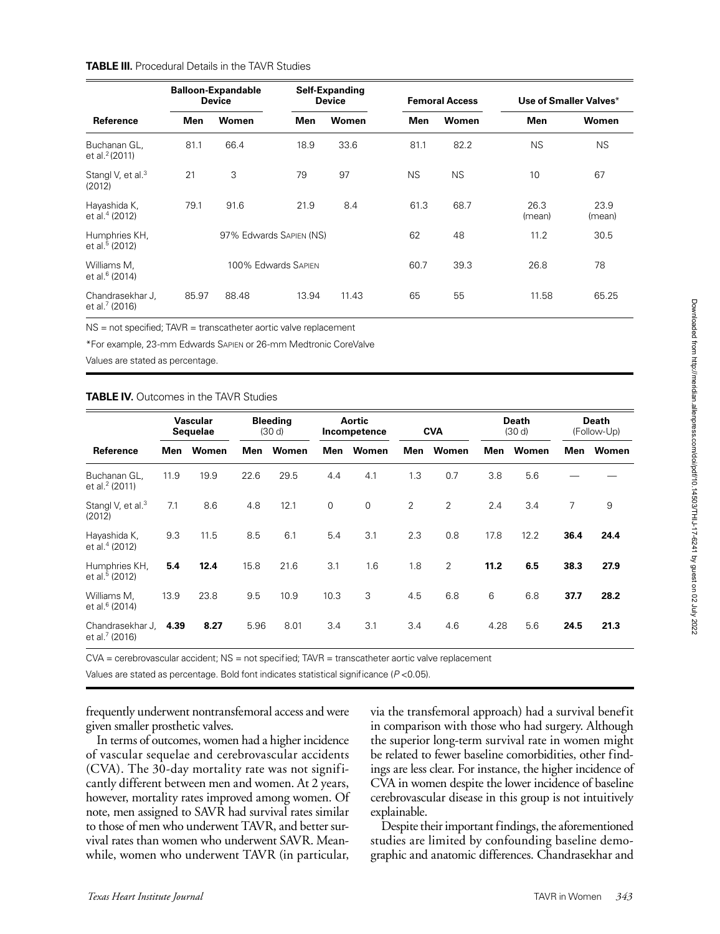### **TABLE III.** Procedural Details in the TAVR Studies

|                                                |       | <b>Balloon-Expandable</b><br><b>Device</b> |       | Self-Expanding<br><b>Device</b> |           | <b>Femoral Access</b> | Use of Smaller Valves* |                |  |
|------------------------------------------------|-------|--------------------------------------------|-------|---------------------------------|-----------|-----------------------|------------------------|----------------|--|
| Reference                                      | Men   | Women                                      | Men   | Women                           | Men       | Women                 | Men                    | Women          |  |
| Buchanan GL,<br>et al. <sup>2</sup> (2011)     | 81.1  | 66.4                                       | 18.9  | 33.6                            | 81.1      | 82.2                  | <b>NS</b>              | <b>NS</b>      |  |
| Stangl V, et al. <sup>3</sup><br>(2012)        | 21    | 3                                          | 79    | 97                              | <b>NS</b> | <b>NS</b>             | 10                     | 67             |  |
| Hayashida K,<br>et al. <sup>4</sup> (2012)     | 79.1  | 91.6                                       | 21.9  | 8.4                             | 61.3      | 68.7                  | 26.3<br>(mean)         | 23.9<br>(mean) |  |
| Humphries KH,<br>et al. <sup>5</sup> (2012)    |       | 97% Edwards SAPIEN (NS)                    |       |                                 | 62        | 48                    | 11.2                   | 30.5           |  |
| Williams M.<br>et al. <sup>6</sup> (2014)      |       | 100% Edwards SAPIEN                        |       |                                 | 60.7      | 39.3                  | 26.8                   | 78             |  |
| Chandrasekhar J,<br>et al. <sup>7</sup> (2016) | 85.97 | 88.48                                      | 13.94 | 11.43                           | 65        | 55                    | 11.58                  | 65.25          |  |

NS = not specified; TAVR = transcatheter aortic valve replacement

\*For example, 23-mm Edwards Sapien or 26-mm Medtronic CoreValve

Values are stated as percentage.

#### **TABLE IV.** Outcomes in the TAVR Studies

|                                                | Vascular<br><b>Sequelae</b> |       | <b>Bleeding</b><br>(30 d) |       | Aortic<br>Incompetence |                | <b>CVA</b>     |                | <b>Death</b><br>(30d) |       | <b>Death</b><br>(Follow-Up) |       |
|------------------------------------------------|-----------------------------|-------|---------------------------|-------|------------------------|----------------|----------------|----------------|-----------------------|-------|-----------------------------|-------|
| Reference                                      | Men                         | Women | Men                       | Women | Men                    | Women          | Men            | Women          | Men                   | Women | Men                         | Women |
| Buchanan GL,<br>et al. <sup>2</sup> (2011)     | 11.9                        | 19.9  | 22.6                      | 29.5  | 4.4                    | 4.1            | 1.3            | 0.7            | 3.8                   | 5.6   |                             |       |
| Stangl V, et al. <sup>3</sup><br>(2012)        | 7.1                         | 8.6   | 4.8                       | 12.1  | $\mathbf 0$            | $\overline{0}$ | $\overline{2}$ | $\overline{2}$ | 2.4                   | 3.4   | 7                           | 9     |
| Hayashida K,<br>et al. <sup>4</sup> (2012)     | 9.3                         | 11.5  | 8.5                       | 6.1   | 5.4                    | 3.1            | 2.3            | 0.8            | 17.8                  | 12.2  | 36.4                        | 24.4  |
| Humphries KH,<br>et al. <sup>5</sup> (2012)    | 5.4                         | 12.4  | 15.8                      | 21.6  | 3.1                    | 1.6            | 1.8            | $\overline{2}$ | 11.2                  | 6.5   | 38.3                        | 27.9  |
| Williams M.<br>et al. <sup>6</sup> (2014)      | 13.9                        | 23.8  | 9.5                       | 10.9  | 10.3                   | 3              | 4.5            | 6.8            | 6                     | 6.8   | 37.7                        | 28.2  |
| Chandrasekhar J,<br>et al. <sup>7</sup> (2016) | 4.39                        | 8.27  | 5.96                      | 8.01  | 3.4                    | 3.1            | 3.4            | 4.6            | 4.28                  | 5.6   | 24.5                        | 21.3  |

CVA = cerebrovascular accident; NS = not specified; TAVR = transcatheter aortic valve replacement

Values are stated as percentage. Bold font indicates statistical significance (*P* <0.05).

frequently underwent nontransfemoral access and were given smaller prosthetic valves.

In terms of outcomes, women had a higher incidence of vascular sequelae and cerebrovascular accidents (CVA). The 30-day mortality rate was not significantly different between men and women. At 2 years, however, mortality rates improved among women. Of note, men assigned to SAVR had survival rates similar to those of men who underwent TAVR, and better survival rates than women who underwent SAVR. Meanwhile, women who underwent TAVR (in particular,

via the transfemoral approach) had a survival benefit in comparison with those who had surgery. Although the superior long-term survival rate in women might be related to fewer baseline comorbidities, other findings are less clear. For instance, the higher incidence of CVA in women despite the lower incidence of baseline cerebrovascular disease in this group is not intuitively explainable.

Despite their important findings, the aforementioned studies are limited by confounding baseline demographic and anatomic differences. Chandrasekhar and